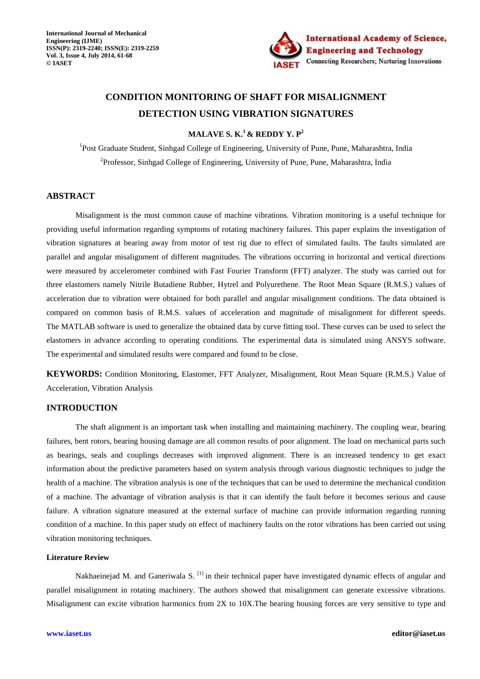

# **CONDITION MONITORING OF SHAFT FOR MISALIGNMENT DETECTION USING VIBRATION SIGNATURES**

**MALAVE S. K.<sup>1</sup>& REDDY Y. P<sup>2</sup>**

<sup>1</sup>Post Graduate Student, Sinhgad College of Engineering, University of Pune, Pune, Maharashtra, India <sup>2</sup>Professor, Sinhgad College of Engineering, University of Pune, Pune, Maharashtra, India

## **ABSTRACT**

Misalignment is the most common cause of machine vibrations. Vibration monitoring is a useful technique for providing useful information regarding symptoms of rotating machinery failures. This paper explains the investigation of vibration signatures at bearing away from motor of test rig due to effect of simulated faults. The faults simulated are parallel and angular misalignment of different magnitudes. The vibrations occurring in horizontal and vertical directions were measured by accelerometer combined with Fast Fourier Transform (FFT) analyzer. The study was carried out for three elastomers namely Nitrile Butadiene Rubber, Hytrel and Polyurethene. The Root Mean Square (R.M.S.) values of acceleration due to vibration were obtained for both parallel and angular misalignment conditions. The data obtained is compared on common basis of R.M.S. values of acceleration and magnitude of misalignment for different speeds. The MATLAB software is used to generalize the obtained data by curve fitting tool. These curves can be used to select the elastomers in advance according to operating conditions. The experimental data is simulated using ANSYS software. The experimental and simulated results were compared and found to be close.

**KEYWORDS:** Condition Monitoring, Elastomer, FFT Analyzer, Misalignment, Root Mean Square (R.M.S.) Value of Acceleration, Vibration Analysis

## **INTRODUCTION**

The shaft alignment is an important task when installing and maintaining machinery. The coupling wear, bearing failures, bent rotors, bearing housing damage are all common results of poor alignment. The load on mechanical parts such as bearings, seals and couplings decreases with improved alignment. There is an increased tendency to get exact information about the predictive parameters based on system analysis through various diagnostic techniques to judge the health of a machine. The vibration analysis is one of the techniques that can be used to determine the mechanical condition of a machine. The advantage of vibration analysis is that it can identify the fault before it becomes serious and cause failure. A vibration signature measured at the external surface of machine can provide information regarding running condition of a machine. In this paper study on effect of machinery faults on the rotor vibrations has been carried out using vibration monitoring techniques.

#### **Literature Review**

Nakhaeinejad M. and Ganeriwala S. <sup>[1]</sup> in their technical paper have investigated dynamic effects of angular and parallel misalignment in rotating machinery. The authors showed that misalignment can generate excessive vibrations. Misalignment can excite vibration harmonics from 2X to 10X.The bearing housing forces are very sensitive to type and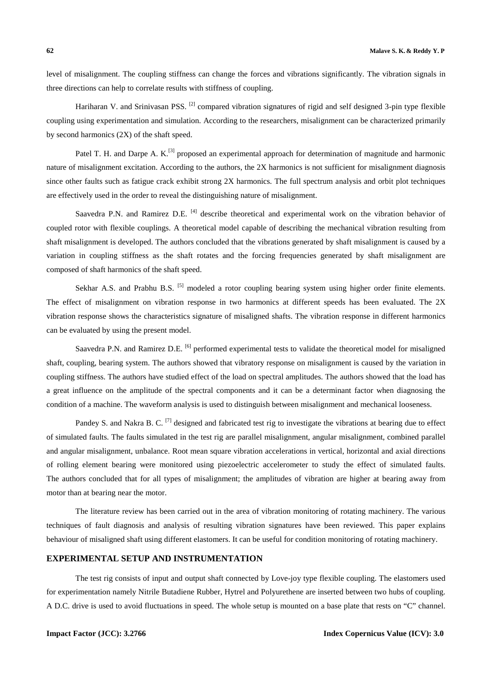level of misalignment. The coupling stiffness can change the forces and vibrations significantly. The vibration signals in three directions can help to correlate results with stiffness of coupling.

Hariharan V. and Srinivasan PSS. <sup>[2]</sup> compared vibration signatures of rigid and self designed 3-pin type flexible coupling using experimentation and simulation. According to the researchers, misalignment can be characterized primarily by second harmonics (2X) of the shaft speed.

Patel T. H. and Darpe A. K.<sup>[3]</sup> proposed an experimental approach for determination of magnitude and harmonic nature of misalignment excitation. According to the authors, the 2X harmonics is not sufficient for misalignment diagnosis since other faults such as fatigue crack exhibit strong 2X harmonics. The full spectrum analysis and orbit plot techniques are effectively used in the order to reveal the distinguishing nature of misalignment.

Saavedra P.N. and Ramirez D.E. <sup>[4]</sup> describe theoretical and experimental work on the vibration behavior of coupled rotor with flexible couplings. A theoretical model capable of describing the mechanical vibration resulting from shaft misalignment is developed. The authors concluded that the vibrations generated by shaft misalignment is caused by a variation in coupling stiffness as the shaft rotates and the forcing frequencies generated by shaft misalignment are composed of shaft harmonics of the shaft speed.

Sekhar A.S. and Prabhu B.S. <sup>[5]</sup> modeled a rotor coupling bearing system using higher order finite elements. The effect of misalignment on vibration response in two harmonics at different speeds has been evaluated. The 2X vibration response shows the characteristics signature of misaligned shafts. The vibration response in different harmonics can be evaluated by using the present model.

Saavedra P.N. and Ramirez D.E. <sup>[6]</sup> performed experimental tests to validate the theoretical model for misaligned shaft, coupling, bearing system. The authors showed that vibratory response on misalignment is caused by the variation in coupling stiffness. The authors have studied effect of the load on spectral amplitudes. The authors showed that the load has a great influence on the amplitude of the spectral components and it can be a determinant factor when diagnosing the condition of a machine. The waveform analysis is used to distinguish between misalignment and mechanical looseness.

Pandey S. and Nakra B. C. <sup>[7]</sup> designed and fabricated test rig to investigate the vibrations at bearing due to effect of simulated faults. The faults simulated in the test rig are parallel misalignment, angular misalignment, combined parallel and angular misalignment, unbalance. Root mean square vibration accelerations in vertical, horizontal and axial directions of rolling element bearing were monitored using piezoelectric accelerometer to study the effect of simulated faults. The authors concluded that for all types of misalignment; the amplitudes of vibration are higher at bearing away from motor than at bearing near the motor.

The literature review has been carried out in the area of vibration monitoring of rotating machinery. The various techniques of fault diagnosis and analysis of resulting vibration signatures have been reviewed. This paper explains behaviour of misaligned shaft using different elastomers. It can be useful for condition monitoring of rotating machinery.

#### **EXPERIMENTAL SETUP AND INSTRUMENTATION**

The test rig consists of input and output shaft connected by Love-joy type flexible coupling. The elastomers used for experimentation namely Nitrile Butadiene Rubber, Hytrel and Polyurethene are inserted between two hubs of coupling. A D.C. drive is used to avoid fluctuations in speed. The whole setup is mounted on a base plate that rests on "C" channel.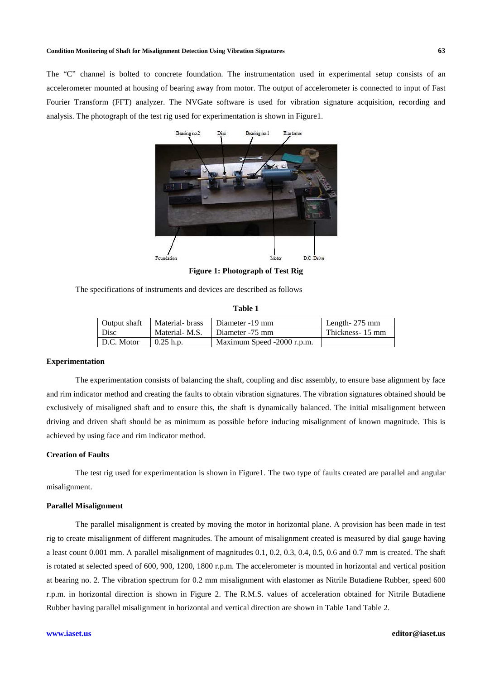#### **Condition Monitoring of Shaft for Misalignment Detection Using Vibration Signatures 63**

The "C" channel is bolted to concrete foundation. The instrumentation used in experimental setup consists of an accelerometer mounted at housing of bearing away from motor. The output of accelerometer is connected to input of Fast Fourier Transform (FFT) analyzer. The NVGate software is used for vibration signature acquisition, recording and analysis. The photograph of the test rig used for experimentation is shown in Figure1.



**Figure 1: Photograph of Test Rig** 

The specifications of instruments and devices are described as follows

| ıпı<br>а |  | ٦ш |  |
|----------|--|----|--|
|----------|--|----|--|

| Output shaft | Material- brass | Diameter -19 mm            | Length- $275 \text{ mm}$ |
|--------------|-----------------|----------------------------|--------------------------|
| Disc         | Material-M.S.   | Diameter -75 mm            | Thickness-15 mm          |
| D.C. Motor   | $\pm 0.25$ h.p. | Maximum Speed -2000 r.p.m. |                          |

#### **Experimentation**

The experimentation consists of balancing the shaft, coupling and disc assembly, to ensure base alignment by face and rim indicator method and creating the faults to obtain vibration signatures. The vibration signatures obtained should be exclusively of misaligned shaft and to ensure this, the shaft is dynamically balanced. The initial misalignment between driving and driven shaft should be as minimum as possible before inducing misalignment of known magnitude. This is achieved by using face and rim indicator method.

### **Creation of Faults**

The test rig used for experimentation is shown in Figure1. The two type of faults created are parallel and angular misalignment.

#### **Parallel Misalignment**

The parallel misalignment is created by moving the motor in horizontal plane. A provision has been made in test rig to create misalignment of different magnitudes. The amount of misalignment created is measured by dial gauge having a least count 0.001 mm. A parallel misalignment of magnitudes 0.1, 0.2, 0.3, 0.4, 0.5, 0.6 and 0.7 mm is created. The shaft is rotated at selected speed of 600, 900, 1200, 1800 r.p.m. The accelerometer is mounted in horizontal and vertical position at bearing no. 2. The vibration spectrum for 0.2 mm misalignment with elastomer as Nitrile Butadiene Rubber, speed 600 r.p.m. in horizontal direction is shown in Figure 2. The R.M.S. values of acceleration obtained for Nitrile Butadiene Rubber having parallel misalignment in horizontal and vertical direction are shown in Table 1and Table 2.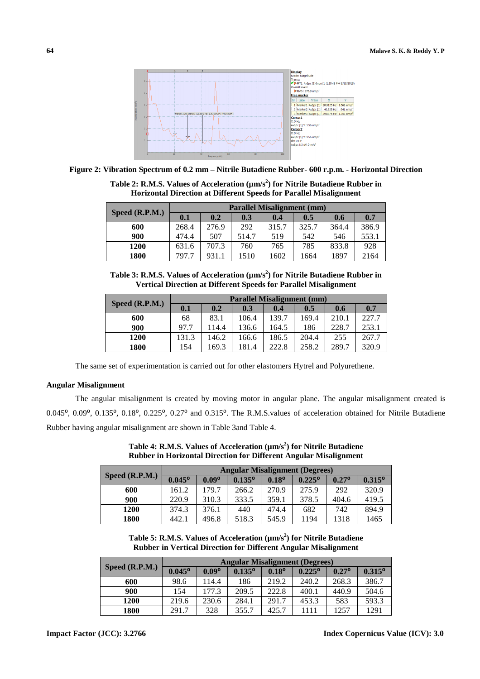

**Figure 2: Vibration Spectrum of 0.2 mm – Nitrile Butadiene Rubber- 600 r.p.m. - Horizontal Direction** 

**Table 2: R.M.S. Values of Acceleration (µm/s<sup>2</sup> ) for Nitrile Butadiene Rubber in Horizontal Direction at Different Speeds for Parallel Misalignment**

| Speed $(R.P.M.)$ | <b>Parallel Misalignment (mm)</b> |       |       |       |       |       |       |  |
|------------------|-----------------------------------|-------|-------|-------|-------|-------|-------|--|
|                  | 0.1                               | 0.2   | 0.3   | 0.4   | 0.5   | 0.6   | 0.7   |  |
| 600              | 268.4                             | 276.9 | 292   | 315.7 | 325.7 | 364.4 | 386.9 |  |
| 900              | 474.4                             | 507   | 514.7 | 519   | 542   | 546   | 553.1 |  |
| 1200             | 631.6                             | 707.3 | 760   | 765   | 785   | 833.8 | 928   |  |
| 1800             | 797.7                             | 931.1 | 1510  | 1602  | 1664  | 1897  | 2164  |  |

| Table 3: R.M.S. Values of Acceleration ( $\mu$ m/s <sup>2</sup> ) for Nitrile Butadiene Rubber in |
|---------------------------------------------------------------------------------------------------|
| <b>Vertical Direction at Different Speeds for Parallel Misalignment</b>                           |

| Speed (R.P.M.) | <b>Parallel Misalignment (mm)</b> |       |       |       |       |       |       |  |  |
|----------------|-----------------------------------|-------|-------|-------|-------|-------|-------|--|--|
|                | 0.1                               | 0.2   | 0.3   | 0.4   | 0.5   | 0.6   | 0.7   |  |  |
| 600            | 68                                | 83.1  | 106.4 | 139.7 | 169.4 | 210.1 | 227.7 |  |  |
| 900            | 97.7                              | 114.4 | 136.6 | 164.5 | 186   | 228.7 | 253.1 |  |  |
| 1200           | 131.3                             | 146.2 | 166.6 | 186.5 | 204.4 | 255   | 267.7 |  |  |
| 1800           | 154                               | 169.3 | 181.4 | 222.8 | 258.2 | 289.7 | 320.9 |  |  |

The same set of experimentation is carried out for other elastomers Hytrel and Polyurethene.

#### **Angular Misalignment**

The angular misalignment is created by moving motor in angular plane. The angular misalignment created is 0.045°, 0.09°, 0.135°, 0.18°, 0.225°, 0.27° and 0.315°. The R.M.S.values of acceleration obtained for Nitrile Butadiene Rubber having angular misalignment are shown in Table 3and Table 4.

| Speed $(R.P.M.)$ | <b>Angular Misalignment (Degrees)</b> |                |                 |                |                 |                |                 |  |
|------------------|---------------------------------------|----------------|-----------------|----------------|-----------------|----------------|-----------------|--|
|                  | $0.045^{\circ}$                       | $0.09^{\circ}$ | $0.135^{\circ}$ | $0.18^{\circ}$ | $0.225^{\circ}$ | $0.27^{\circ}$ | $0.315^{\circ}$ |  |
| 600              | 161.2                                 | 179.7          | 266.2           | 270.9          | 275.9           | 292            | 320.9           |  |
| 900              | 220.9                                 | 310.3          | 333.5           | 359.1          | 378.5           | 404.6          | 419.5           |  |
| 1200             | 374.3                                 | 376.1          | 440             | 474.4          | 682             | 742            | 894.9           |  |
| 1800             | 442.1                                 | 496.8          | 518.3           | 545.9          | 1194            | 1318           | 1465            |  |

**Table 4: R.M.S. Values of Acceleration (µm/s<sup>2</sup> ) for Nitrile Butadiene Rubber in Horizontal Direction for Different Angular Misalignment** 

**Table 5: R.M.S. Values of Acceleration (µm/s<sup>2</sup> ) for Nitrile Butadiene Rubber in Vertical Direction for Different Angular Misalignment** 

| Speed $(R.P.M.)$ | <b>Angular Misalignment (Degrees)</b> |                |                 |                |                 |                |                 |  |  |
|------------------|---------------------------------------|----------------|-----------------|----------------|-----------------|----------------|-----------------|--|--|
|                  | $0.045^{\circ}$                       | $0.09^{\circ}$ | $0.135^{\circ}$ | $0.18^{\circ}$ | $0.225^{\circ}$ | $0.27^{\circ}$ | $0.315^{\circ}$ |  |  |
| 600              | 98.6                                  | 114.4          | 186             | 219.2          | 240.2           | 268.3          | 386.7           |  |  |
| 900              | 154                                   | 177.3          | 209.5           | 222.8          | 400.1           | 440.9          | 504.6           |  |  |
| 1200             | 219.6                                 | 230.6          | 284.1           | 291.7          | 453.3           | 583            | 593.3           |  |  |
| 1800             | 291.7                                 | 328            | 355.7           | 425.7          | 1111            | 1257           | 1291            |  |  |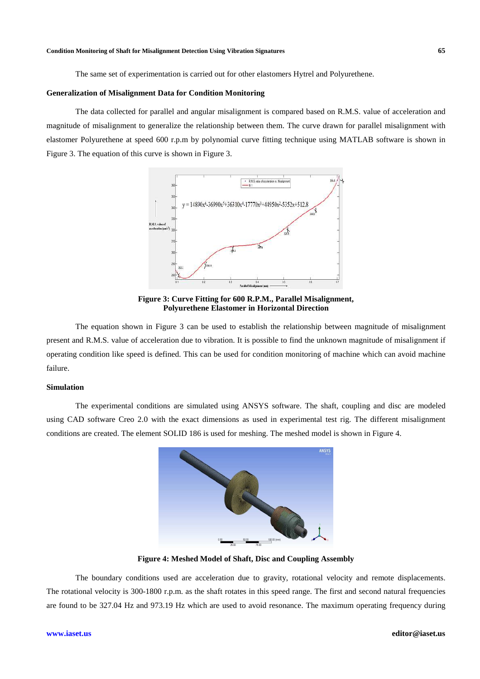The same set of experimentation is carried out for other elastomers Hytrel and Polyurethene.

#### **Generalization of Misalignment Data for Condition Monitoring**

The data collected for parallel and angular misalignment is compared based on R.M.S. value of acceleration and magnitude of misalignment to generalize the relationship between them. The curve drawn for parallel misalignment with elastomer Polyurethene at speed 600 r.p.m by polynomial curve fitting technique using MATLAB software is shown in Figure 3. The equation of this curve is shown in Figure 3.



**Figure 3: Curve Fitting for 600 R.P.M., Parallel Misalignment, Polyurethene Elastomer in Horizontal Direction**

The equation shown in Figure 3 can be used to establish the relationship between magnitude of misalignment present and R.M.S. value of acceleration due to vibration. It is possible to find the unknown magnitude of misalignment if operating condition like speed is defined. This can be used for condition monitoring of machine which can avoid machine failure.

#### **Simulation**

The experimental conditions are simulated using ANSYS software. The shaft, coupling and disc are modeled using CAD software Creo 2.0 with the exact dimensions as used in experimental test rig. The different misalignment conditions are created. The element SOLID 186 is used for meshing. The meshed model is shown in Figure 4.



**Figure 4: Meshed Model of Shaft, Disc and Coupling Assembly** 

The boundary conditions used are acceleration due to gravity, rotational velocity and remote displacements. The rotational velocity is 300-1800 r.p.m. as the shaft rotates in this speed range. The first and second natural frequencies are found to be 327.04 Hz and 973.19 Hz which are used to avoid resonance. The maximum operating frequency during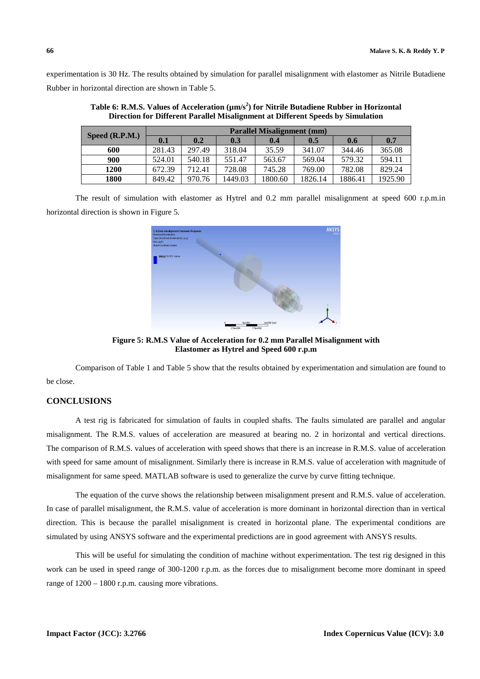experimentation is 30 Hz. The results obtained by simulation for parallel misalignment with elastomer as Nitrile Butadiene Rubber in horizontal direction are shown in Table 5.

| Speed $(R.P.M.)$ | <b>Parallel Misalignment (mm)</b> |        |         |         |         |         |         |  |  |
|------------------|-----------------------------------|--------|---------|---------|---------|---------|---------|--|--|
|                  | 0.1                               | 0.2    | 0.3     | 0.4     | 0.5     | 0.6     | 0.7     |  |  |
| 600              | 281.43                            | 297.49 | 318.04  | 35.59   | 341.07  | 344.46  | 365.08  |  |  |
| 900              | 524.01                            | 540.18 | 551.47  | 563.67  | 569.04  | 579.32  | 594.11  |  |  |
| 1200             | 672.39                            | 712.41 | 728.08  | 745.28  | 769.00  | 782.08  | 829.24  |  |  |
| 1800             | 849.42                            | 970.76 | 1449.03 | 1800.60 | 1826.14 | 1886.41 | 1925.90 |  |  |

**Table 6: R.M.S. Values of Acceleration (µm/s<sup>2</sup> ) for Nitrile Butadiene Rubber in Horizontal Direction for Different Parallel Misalignment at Different Speeds by Simulation** 

The result of simulation with elastomer as Hytrel and 0.2 mm parallel misalignment at speed 600 r.p.m.in horizontal direction is shown in Figure 5.



**Figure 5: R.M.S Value of Acceleration for 0.2 mm Parallel Misalignment with Elastomer as Hytrel and Speed 600 r.p.m** 

Comparison of Table 1 and Table 5 show that the results obtained by experimentation and simulation are found to be close.

## **CONCLUSIONS**

A test rig is fabricated for simulation of faults in coupled shafts. The faults simulated are parallel and angular misalignment. The R.M.S. values of acceleration are measured at bearing no. 2 in horizontal and vertical directions. The comparison of R.M.S. values of acceleration with speed shows that there is an increase in R.M.S. value of acceleration with speed for same amount of misalignment. Similarly there is increase in R.M.S. value of acceleration with magnitude of misalignment for same speed. MATLAB software is used to generalize the curve by curve fitting technique.

The equation of the curve shows the relationship between misalignment present and R.M.S. value of acceleration. In case of parallel misalignment, the R.M.S. value of acceleration is more dominant in horizontal direction than in vertical direction. This is because the parallel misalignment is created in horizontal plane. The experimental conditions are simulated by using ANSYS software and the experimental predictions are in good agreement with ANSYS results.

This will be useful for simulating the condition of machine without experimentation. The test rig designed in this work can be used in speed range of 300-1200 r.p.m. as the forces due to misalignment become more dominant in speed range of  $1200 - 1800$  r.p.m. causing more vibrations.